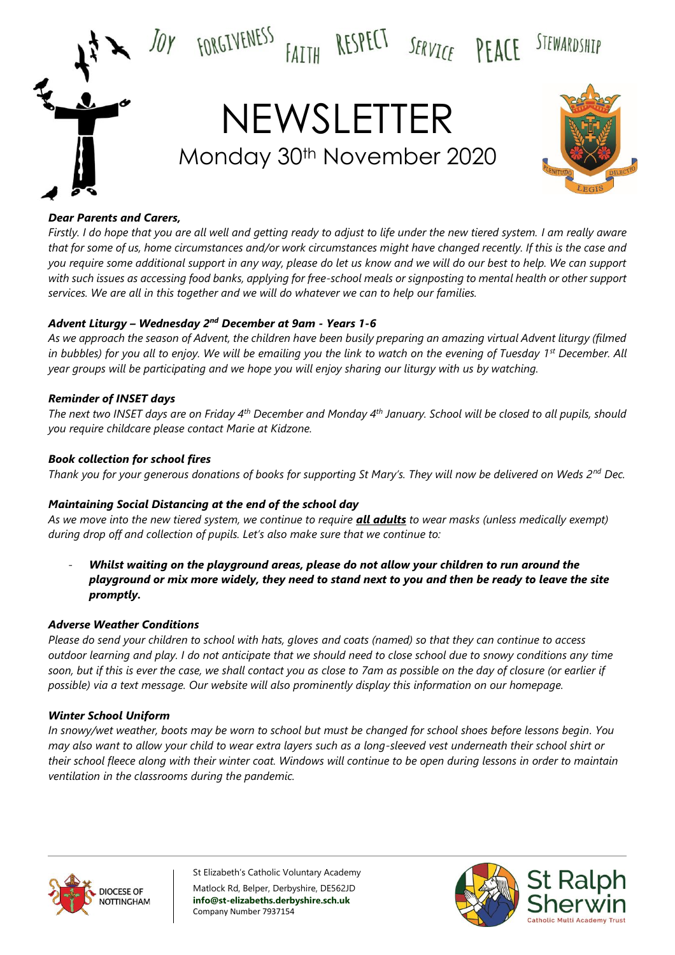

### *Dear Parents and Carers,*

*Firstly. I do hope that you are all well and getting ready to adjust to life under the new tiered system. I am really aware that for some of us, home circumstances and/or work circumstances might have changed recently. If this is the case and you require some additional support in any way, please do let us know and we will do our best to help. We can support with such issues as accessing food banks, applying for free-school meals or signposting to mental health or other support services. We are all in this together and we will do whatever we can to help our families.*

### *Advent Liturgy – Wednesday 2nd December at 9am - Years 1-6*

*As we approach the season of Advent, the children have been busily preparing an amazing virtual Advent liturgy (filmed in bubbles) for you all to enjoy. We will be emailing you the link to watch on the evening of Tuesday 1st December. All year groups will be participating and we hope you will enjoy sharing our liturgy with us by watching.*

### *Reminder of INSET days*

*The next two INSET days are on Friday 4th December and Monday 4th January. School will be closed to all pupils, should you require childcare please contact Marie at Kidzone.*

### *Book collection for school fires*

*Thank you for your generous donations of books for supporting St Mary's. They will now be delivered on Weds 2nd Dec.* 

# *Maintaining Social Distancing at the end of the school day*

*As we move into the new tiered system, we continue to require all adults to wear masks (unless medically exempt) during drop off and collection of pupils. Let's also make sure that we continue to:*

- *Whilst waiting on the playground areas, please do not allow your children to run around the playground or mix more widely, they need to stand next to you and then be ready to leave the site promptly.*

### *Adverse Weather Conditions*

*Please do send your children to school with hats, gloves and coats (named) so that they can continue to access outdoor learning and play. I do not anticipate that we should need to close school due to snowy conditions any time soon, but if this is ever the case, we shall contact you as close to 7am as possible on the day of closure (or earlier if possible) via a text message. Our website will also prominently display this information on our homepage.* 

### *Winter School Uniform*

*In snowy/wet weather, boots may be worn to school but must be changed for school shoes before lessons begin. You may also want to allow your child to wear extra layers such as a long-sleeved vest underneath their school shirt or their school fleece along with their winter coat. Windows will continue to be open during lessons in order to maintain ventilation in the classrooms during the pandemic.*



St Elizabeth's Catholic Voluntary Academy Matlock Rd, Belper, Derbyshire, DE562JD **info@st-elizabeths.derbyshire.sch.uk** Company Number 7937154

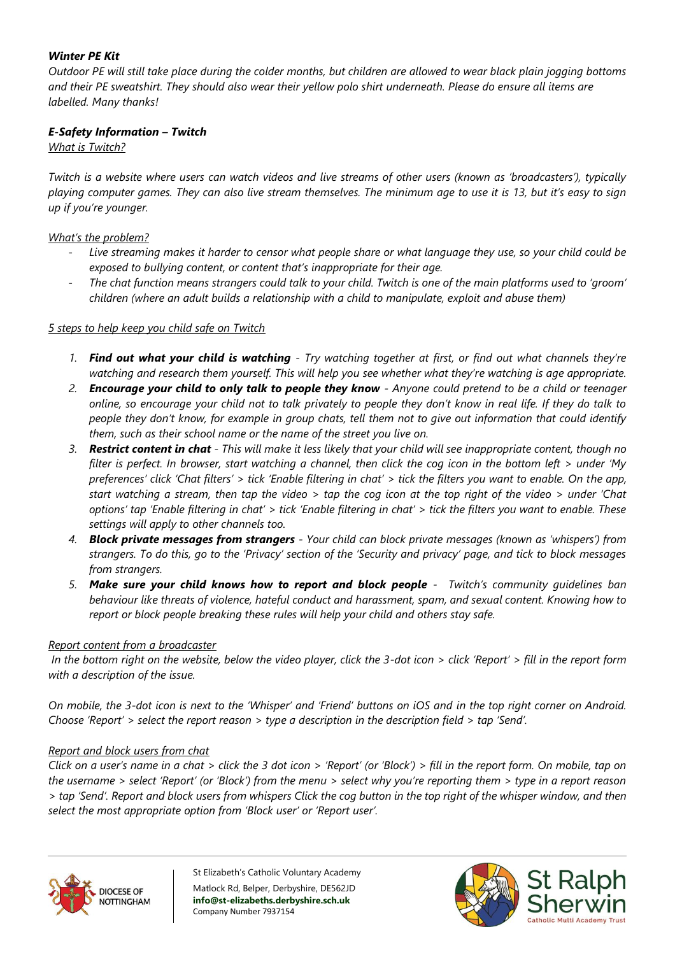# *Winter PE Kit*

*Outdoor PE will still take place during the colder months, but children are allowed to wear black plain jogging bottoms and their PE sweatshirt. They should also wear their yellow polo shirt underneath. Please do ensure all items are labelled. Many thanks!*

# *E-Safety Information – Twitch*

*What is Twitch?*

*Twitch is a website where users can watch videos and live streams of other users (known as 'broadcasters'), typically playing computer games. They can also live stream themselves. The minimum age to use it is 13, but it's easy to sign up if you're younger.*

*What's the problem?* 

- *Live streaming makes it harder to censor what people share or what language they use, so your child could be exposed to bullying content, or content that's inappropriate for their age.*
- *The chat function means strangers could talk to your child. Twitch is one of the main platforms used to 'groom' children (where an adult builds a relationship with a child to manipulate, exploit and abuse them)*

### *5 steps to help keep you child safe on Twitch*

- *1. Find out what your child is watching - Try watching together at first, or find out what channels they're watching and research them yourself. This will help you see whether what they're watching is age appropriate.*
- *2. Encourage your child to only talk to people they know - Anyone could pretend to be a child or teenager online, so encourage your child not to talk privately to people they don't know in real life. If they do talk to people they don't know, for example in group chats, tell them not to give out information that could identify them, such as their school name or the name of the street you live on.*
- *3. Restrict content in chat - This will make it less likely that your child will see inappropriate content, though no filter is perfect. In browser, start watching a channel, then click the cog icon in the bottom left > under 'My preferences' click 'Chat filters' > tick 'Enable filtering in chat' > tick the filters you want to enable. On the app, start watching a stream, then tap the video > tap the cog icon at the top right of the video > under 'Chat options' tap 'Enable filtering in chat' > tick 'Enable filtering in chat' > tick the filters you want to enable. These settings will apply to other channels too.*
- *4. Block private messages from strangers - Your child can block private messages (known as 'whispers') from strangers. To do this, go to the 'Privacy' section of the 'Security and privacy' page, and tick to block messages from strangers.*
- *5. Make sure your child knows how to report and block people Twitch's community guidelines ban behaviour like threats of violence, hateful conduct and harassment, spam, and sexual content. Knowing how to report or block people breaking these rules will help your child and others stay safe.*

### *Report content from a broadcaster*

*In the bottom right on the website, below the video player, click the 3-dot icon > click 'Report' > fill in the report form with a description of the issue.* 

*On mobile, the 3-dot icon is next to the 'Whisper' and 'Friend' buttons on iOS and in the top right corner on Android. Choose 'Report' > select the report reason > type a description in the description field > tap 'Send'.* 

### *Report and block users from chat*

*Click on a user's name in a chat > click the 3 dot icon > 'Report' (or 'Block') > fill in the report form. On mobile, tap on the username > select 'Report' (or 'Block') from the menu > select why you're reporting them > type in a report reason > tap 'Send'. Report and block users from whispers Click the cog button in the top right of the whisper window, and then select the most appropriate option from 'Block user' or 'Report user'.* 



St Elizabeth's Catholic Voluntary Academy Matlock Rd, Belper, Derbyshire, DE562JD **info@st-elizabeths.derbyshire.sch.uk** Company Number 7937154